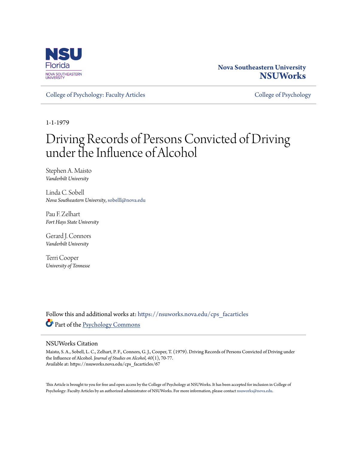

### **Nova Southeastern University [NSUWorks](https://nsuworks.nova.edu?utm_source=nsuworks.nova.edu%2Fcps_facarticles%2F67&utm_medium=PDF&utm_campaign=PDFCoverPages)**

[College of Psychology: Faculty Articles](https://nsuworks.nova.edu/cps_facarticles?utm_source=nsuworks.nova.edu%2Fcps_facarticles%2F67&utm_medium=PDF&utm_campaign=PDFCoverPages) [College of Psychology](https://nsuworks.nova.edu/cps?utm_source=nsuworks.nova.edu%2Fcps_facarticles%2F67&utm_medium=PDF&utm_campaign=PDFCoverPages)

1-1-1979

# Driving Records of Persons Convicted of Driving under the Influence of Alcohol

Stephen A. Maisto *Vanderbilt University*

Linda C. Sobell *Nova Southeastern University*, sobelll@nova.edu

Pau F. Zelhart *Fort Hays State University*

Gerard J. Connors *Vanderbilt University*

Terri Cooper *University of Tennesse*

Follow this and additional works at: [https://nsuworks.nova.edu/cps\\_facarticles](https://nsuworks.nova.edu/cps_facarticles?utm_source=nsuworks.nova.edu%2Fcps_facarticles%2F67&utm_medium=PDF&utm_campaign=PDFCoverPages) Part of the [Psychology Commons](http://network.bepress.com/hgg/discipline/404?utm_source=nsuworks.nova.edu%2Fcps_facarticles%2F67&utm_medium=PDF&utm_campaign=PDFCoverPages)

#### NSUWorks Citation

Maisto, S. A., Sobell, L. C., Zelhart, P. F., Connors, G. J., Cooper, T. (1979). Driving Records of Persons Convicted of Driving under the Influence of Alcohol. *Journal of Studies on Alcohol, 40*(1), 70-77. Available at: https://nsuworks.nova.edu/cps\_facarticles/67

This Article is brought to you for free and open access by the College of Psychology at NSUWorks. It has been accepted for inclusion in College of Psychology: Faculty Articles by an authorized administrator of NSUWorks. For more information, please contact [nsuworks@nova.edu.](mailto:nsuworks@nova.edu)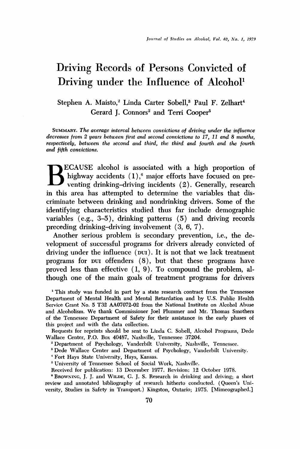## **Driving Records of Persons Convicted of Driving under the Influence of Alcohol'**

Stephen A. Maisto,<sup>2</sup> Linda Carter Sobell,<sup>3</sup> Paul F. Zelhart<sup>4</sup> Gerard J. Connors<sup>2</sup> and Terri Cooper<sup>5</sup>

SUMMARY. The average interval between convictions of driving under the influence decreases from 2 years between first and second convictions to 17, 11 and 8 months, respectively, between the second and third, the third and fourth and the fourth and fifth convictions.

**ECAUSE alcohol is associated with a high proportion of highway accidents (1),• major efforts have focused on pre-venting drinking-driving incidents (2). Generally, research in this area has attempted to determine the variables that discriminate between drinking and nondrinking drivers. Some of the**  identifying characteristics studied thus far include demographic **variables (e.g., 3-5), drinking patterns (5) and driving records preceding drinking-driving involvement (3, 6, 7).** 

**Another serious problem is secondary prevention, i.e., the development of successful programs for drivers already convicted of**  driving under the influence (pu<sub>I</sub>). It is not that we lack treatment **programs for Dvx offenders (8), but that these programs have proved less than effective (1, 9). To compound the problem, although one of the main goals of treatment programs for drivers** 

**• This study was funded in part by a state research contract from the Tennessee Department of Mental Health and Mental Retardation and by U.S. Public Health Service Grant No. 5 T32 AA07072-02 from the National Institute on Alcohol Abuse and Alcoholism. We thank Commissioner Joel Plummer and Mr. Thomas Smothers of the Tennessee Department of Safety for their assistance in the early phases of this project and with the data collection.** 

**Requests for reprints should be sent to Linda C. Sobell, Alcohol Programs, Dede Wallace Center, P.O. Box 40487, Nashville, Tennessee 37204.** 

**'• Department of Psychology, Vanderbilt University, Nashville, Tennessee.** 

**'• Dede Wallace Center and Department of Psychology, Vanderbilt University.** 

**• Fort Hays State University, Hays, Kansas.** 

**a University of Tennessee School of Social Work, Nashvillc.** 

**Received for publication: 13 December 1977. Revision: 12 October 1978.** 

**• BROWNING, J. J. and WILDE, G. J. S. Research in drinking and driving; a short review and annotated bibliography of research hitherto conducted. (Queen's University, Studies in Safety in Transport.) Kingston, Ontario; 1975. [Mimeographed.]**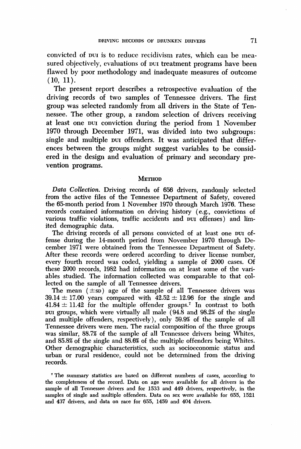**convicted of DUI is to reduce recidivism rates, which can be mea**sured objectively, evaluations of put treatment programs have been **flawed by poor methodology and inadequate measures of outcome (10, 11).** 

The present report describes a retrospective evaluation of the **driving records of two samples of Tennessee drivers. The first**  group was selected randomly from all drivers in the State of Ten**nessee. The other group, a random selection of drivers receiving at least one DUI conviction during the period from 1 November 1970 through December 1971, was divided into two subgroups: single and multiple Dvi offenders. It was anticipated that differenees between the groups might suggest variables to be considered in the design and evaluation of primary and secondary prevention programs.** 

#### **METHOD**

**Data Collection. Driving records of 656 drivers, randomly selected from the active files of the Tennessee Department of Safety, covered the 65-month period from i November 1970 through March 1976. These records contained information on driving history (e.g., convictions of**  various traffic violations, traffic accidents and pui offenses) and lim**ited demographic data.** 

**The driving records of all persons convicted of at least one DUI offense during the 14-month period from November 1970 through December 1971 were obtained from the Tennessee Department of Safety. After these records were ordered according to driver license number, every fourth record was coded, yielding a sample of 2000 cases. Of these 2000 records, 1982 had information on at least some of the variables studied. The information collected was comparable to that collected on the sample of all Tennessee drivers.** 

The mean  $(\pm s\bar{b})$  age of the sample of all Tennessee drivers was  $39.14 \pm 17.00$  years compared with  $42.52 \pm 12.96$  for the single and  $41.84 \pm 11.42$  for the multiple offender groups.<sup>7</sup> In contrast to both put groups, which were virtually all male (94.8 and 98.2% of the single **and multiple offenders, respectively), only 59.9% of the sample of all Tennessee drivers were men. The racial composition of the three groups was similar, 88.7% of the sample of all Tennessee drivers being Whites, and 85.8% of the single and 88.6% of the multiple offenders being Whites. Other demographic characteristics, such as socioeconomic status and urban or rural residence, could not be determined from the driving records.** 

**7 The summary statistics are based on different numbers of cases, according to the completeness of the record. Data on age were available for all drivers in the sample of all Tennessee drivers and for 1533 and 449 drivers, respectively, in the samples of single and multiple offenders. Data on sex were available for 655, 1521 and 437 drivers, and data on race for 655, 1459 and 404 drivers.**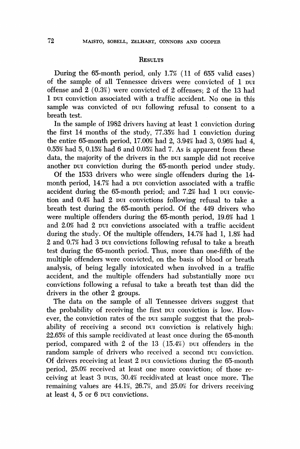#### **•ESULTS**

**During the 65-month period, only 1.7% (11 of 655 valid cases)**  of the sample of all Tennessee drivers were convicted of 1 put **offense and 2 (0.3%) were convicted of 2 offenses; 2 of the 13 had 1** but conviction associated with a traffic accident. No one in this sample was convicted of bur following refusal to consent to a **breath test.** 

**In the sample of 1982 drivers having at least I conviction during the first 14 months of the study, 77.35% had I conviction during**  the entire 65-month period, 17.00% had 2, 3.94% had 3, 0.96% had 4, **0.55• had 5, 0.15% had 6 and 0.05% had 7. As is apparent from these**  data, the majority of the drivers in the pur sample did not receive another pur conviction during the 65-month period under study.

**Of the 1533 drivers who were single offenders during the 14**  month period, 14.7% had a put conviction associated with a traffic accident during the 65-month period; and 7.2% had 1 pur conviction and 0.4% had 2 pur convictions following refusal to take a **breath test during the 65-month period. Of the 449 drivers who were multiple offenders during the 65-month period, 19.6% had 1**  and 2.0% had 2 pur convictions associated with a traffic accident **during the study. Of the multiple offenders, 14.7% had 1, 1.8% had 2 and 0.75• had 3 •)v• convictions following refusal to take a breath test during the 65-month period. Thus, more than one-fifth of the multiple offenders were convicted, on the basis of blood or breath analysis, of being legally intoxicated when involved in a traffic**  accident, and the multiple offenders had substantially more put **convictions following a refusal to take a breath test than did the drivers in the other 2 groups.** 

**The data on the sample of all Tennessee drivers suggest that**  the probability of receiving the first pur conviction is low. However, the conviction rates of the pur sample suggest that the probability of receiving a second pur conviction is relatively high: **22.65% of this sample recidivated at least once during the 65-month period, compared with 2 of the 13 (15.4%) put offenders in the** random sample of drivers who received a second pur conviction. **Of drivers receiving at least 2 pul convictions during the 65-month period, 25.0% received at least one more conviction; of those receiving at least 3 •)vis, 30.4% recidivated at least once more. The**  remaining values are 44.1%, 26.7%, and 25.0% for drivers receiving at least 4, 5 or 6 put convictions.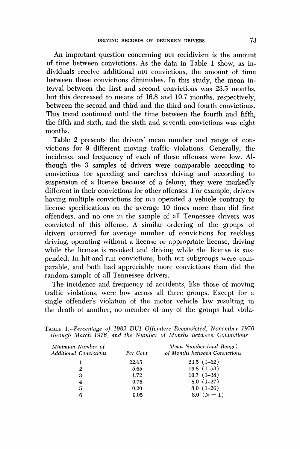**An important question concerning DuI recidivism is the amount of time between convictions. As the data in Table 1 show, as in**dividuals receive additional put convictions, the amount of time **between these convictions diminishes. In this study, the mean interval between the first and second convictions was 23.5 months, but this decreased to means of 16.8 and 10.7 months, respectively, between the second and third and the third and fourth convictions. This trend continued until the time between the fourth and fifth, the fifth and sixth, and the sixth and seventh convictions was eight months.** 

**Table 2 presents the drivers' mean number and range of convictions for 9 different moving traffic violations. Generally, the incidence and frequency of each of these offenses were low. Although the 3 samples of drivers were comparable according to convictions for speeding and careless driving and according to suspension of a license because of a felony, they were markedly different in their convictions for other offenses. For example, drivers having multiple convictions for DvI operated a vehicle contrary to license specifications on the average 10 times more than did first offenders, and no one in the sample of all Tennessee drivers was convicted of this offense. A similar ordering of the groups of drivers occurred for average number of convictions for reckless driving, operating without a license or appropriate license, driving while the license is revoked and driving while the license is suspended.** In hit-and-run convictions, both pur subgroups were com**parable, and both had appreciably more convictions than did the random sample of all Tennessee drivers.** 

**The incidence and frequency of accidents, like those of moving traffic violations, were low across all three groups. Except for a single offender's violation of the motor vehicle law resulting in the death of another, no member of any of the groups had viola-**

**TABLE 1.--Percentage of 1982 DUI Offenders Reconvicted, November 1970 through March 1976, and the Number of Months betwecn Convictions** 

| Minimum Number of<br><b>Additional Convictions</b> | Per Cent | Mean Number (and Range)<br>of Months between Convictions |
|----------------------------------------------------|----------|----------------------------------------------------------|
|                                                    | 22.65    | $23.5(1-62)$                                             |
| 2                                                  | 5.65     | $16.8$ $(1-53)$                                          |
| 3                                                  | 1.72     | $10.7(1-38)$                                             |
| 4                                                  | 0.76     | $8.0(1-27)$                                              |
| 5                                                  | 0.20     | $8.0(1-26)$                                              |
| 6                                                  | 0.05     | 8.0 $(N = 1)$                                            |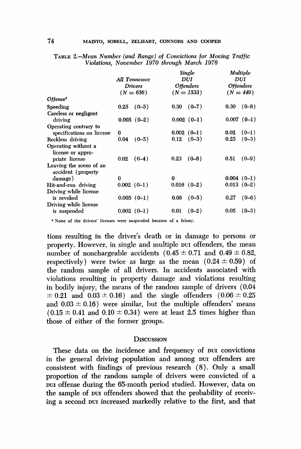| $(N = 449)$  |
|--------------|
|              |
| $(0-8)$      |
|              |
| $0.007(0-1)$ |
|              |
| $(0-1)$      |
| $(0 - 3)$    |
|              |
|              |
| $(0-9)$      |
|              |
|              |
| $0.004(0-1)$ |
| $0.013(0-2)$ |
|              |
| $(0-6)$      |
|              |
| $(0-3)$      |
|              |

**TABLE 2.--Mean Number (and Range) of Convictions for Moving Traffic Violations, November 1970 through March 1976** 

**None of the drivers' licenses were suspended because of a felony.** 

**tions resulting in the driver's death or in damage to persons or property. However, in single and multiple DuI offenders, the mean**  number of nonchargeable accidents  $(0.45 \pm 0.71$  and  $0.49 \pm 0.82$ , respectively) were twice as large as the mean  $(0.24 \pm 0.59)$  of **the random sample of all drivers. In accidents associated with violations resulting in property damage and violations resulting in bodily injury, the means of the random sample of drivers (0.04**   $\pm 0.21$  and  $0.03 \pm 0.16$ ) and the single offenders  $(0.06 \pm 0.25)$ and  $0.03 \pm 0.16$ ) were similar, but the multiple offenders' means  $(0.15 \pm 0.41$  and  $(0.10 \pm 0.34)$  were at least 2.5 times higher than **those of either of the former groups.** 

#### **DISCUSSION**

**These data on the incidence and frequency of Dui convictions**  in the general driving population and among pur offenders are **consistent with findings of previous research (8). Only a small proportion of the random sample of drivers were convicted of a •ui offense during the 65-month period studied. However, data on**  the sample of pui offenders showed that the probability of receiv**ing a second Dui increased markedly relative to the first, and that**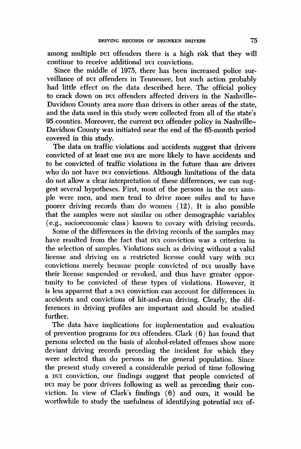among multiple put offenders there is a high risk that they will continue to receive additional pur convictions.

**Since the middle of 1975, there has been increased police sur**veillance of pur offenders in Tennessee, but such action probably **had little effect on the data described here. The official policy**  to crack down on **pu** offenders affected drivers in the Nashville-**Davidson County area more than drivers in other areas of the state, and the data used in this study were collected from all of the state's**  95 counties. Moreover, the current put offender policy in Nashville-**Davidson County was initiated near the end of the 65-month period covered in this study.** 

**The data on traffic violations and accidents suggest that drivers**  convicted of at least one put are more likely to have accidents and **to be convicted of traffic violations in the future than are drivers**  who do not have **pur** convictions. Although limitations of the data **do not allow a clear interpretation of these differences, we can sug**gest several hypotheses. First, most of the persons in the pur sam**ple were men, and men tend to drive more miles and to have poorer driving records than do women (12). It is also possible that the samples were not similar on other demographic variables (e.g., socioeconomic class) known to covary with driving records.** 

Some of the differences in the driving records of the samples may have resulted from the fact that pur conviction was a criterion in **the selection of samples. Violations such as driving without a valid license and driving on a restricted license could vary with put** convictions merely because people convicted of *put* usually have **their license suspended or revoked, and thus have greater opportunity to be convicted of these types of violations. However, it**  is less apparent that a **pur** conviction can account for differences in **accidents and convictions of hit-and-run driving. Clearly, the differences in driving profiles are important and should be studied further.** 

**The data have implications for implementation and evaluation**  of prevention programs for put offenders. Clark (6) has found that **persons selected on the basis of alcohol-related offenses show more deviant driving records preceding the incident for which they were selected than do persons in the general population. Since**  the present study covered a considerable period of time following a pur conviction, our findings suggest that people convicted of put may be poor drivers following as well as preceding their con**viction. In view of Clark's findings (6) and ours, it would be**  worthwhile to study the usefulness of identifying potential put of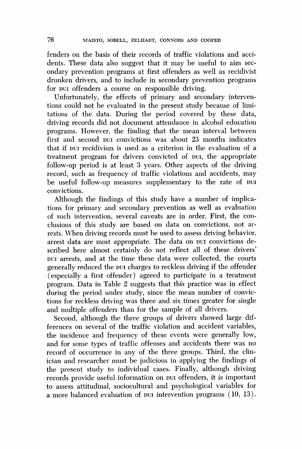**fenders on the basis of their records of traffic violations and acci**dents. These data also suggest that it may be useful to aim sec**ondary prevention programs at first offenders as well as recidivist drunken drivers, and to include in secondary prevention programs**  for *put* offenders a course on responsible driving.

**Unfortunately, the effects of primary and secondary interventions could not be evaluated in the present study because of limitations of the data. During the period covered by these data, driving records did not document attendance in alcohol education programs. However, the finding that the mean interval between**  first and second put convictions was about 23 months indicates that if pur recidivism is used as a criterion in the evaluation of a treatment program for drivers convicted of put, the appropriate **folloxv-up period is at least 3 years. Other aspects of the driving record, such as frequency of traffic violations and accidents, may**  be useful follow-up measures supplementary to the rate of pur **convictions.** 

**Although the findings of this study have a number of implications for primary and secondary prevention as well as evaluation of such intervention, several caveats are in order. First, the conclusions of this study are based on data on convictions, not arrests. When driving records must be used to assess driving behavior,**  arrest data are most appropriate. The data on put convictions de**scribed here almost certainly do not reflect all of these drivers'**  put arrests, and at the time these data were collected, the courts generally reduced the *purcharges* to reckless driving if the offender **(especially a first offender) agreed to participate in a treatment program. Data in Table 2 suggests that this practice was in effect during the period under study, since the mean number of convictions for reckless driving was three and six times greater for single and multiple offenders than for the sample of all drivers.** 

**Second, although the three groups of drivers showed large differences on several of the traffic violation and accident variables, the incidence and frequency of these events were generally low, and for some types of traffic offenses and accidents there was no record of occurrence in any of the three groups. Third, the clinician and researcher must be iudicious in applying the findings of the present study to individual cases. Finally, although driving**  records provide useful information on **pu** offenders, it is important **to assess attitudinal, sociocultural and psychological variables for a** more balanced evaluation of pur intervention programs (10, 13).